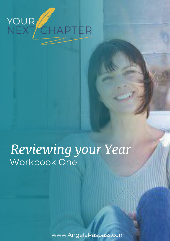

# *Reviewing your Year* Workbook One

www.AngelaRaspass.com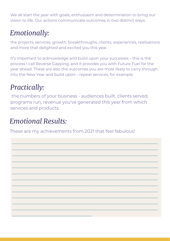We all start the year with goals, enthusiasm and determination to bring our vision to life. Our actions communicate outcomes in two distinct ways:

### *Emotionally:*

the projects, services, growth, breakthroughs, clients, experiences, realisations and more that delighted and excited you this year.

It's important to acknowledge and build upon your successes – this is the process I call Reverse Gapping, and it provides you with Future Fuel for the year ahead. These are also the outcomes you are most likely to carry through into the New Year and build upon – repeat services, for example.

#### *Practically:*

 the numbers of your business - audiences built, clients served, programs run, revenue you've generated this year from which services and products.

 $\_$  , and the set of the set of the set of the set of the set of the set of the set of the set of the set of the set of the set of the set of the set of the set of the set of the set of the set of the set of the set of th

 $\_$  , and the set of the set of the set of the set of the set of the set of the set of the set of the set of the set of the set of the set of the set of the set of the set of the set of the set of the set of the set of th

 $\_$  , and the set of the set of the set of the set of the set of the set of the set of the set of the set of the set of the set of the set of the set of the set of the set of the set of the set of the set of the set of th

 $\_$  , and the set of the set of the set of the set of the set of the set of the set of the set of the set of the set of the set of the set of the set of the set of the set of the set of the set of the set of the set of th

 $\_$  , and the set of the set of the set of the set of the set of the set of the set of the set of the set of the set of the set of the set of the set of the set of the set of the set of the set of the set of the set of th

 $\_$  , and the set of the set of the set of the set of the set of the set of the set of the set of the set of the set of the set of the set of the set of the set of the set of the set of the set of the set of the set of th

 $\_$  , and the set of the set of the set of the set of the set of the set of the set of the set of the set of the set of the set of the set of the set of the set of the set of the set of the set of the set of the set of th

 $\_$  , and the set of the set of the set of the set of the set of the set of the set of the set of the set of the set of the set of the set of the set of the set of the set of the set of the set of the set of the set of th

 $\_$  , and the set of the set of the set of the set of the set of the set of the set of the set of the set of the set of the set of the set of the set of the set of the set of the set of the set of the set of the set of th

 $\_$  , and the set of the set of the set of the set of the set of the set of the set of the set of the set of the set of the set of the set of the set of the set of the set of the set of the set of the set of the set of th

 $\_$  , and the set of the set of the set of the set of the set of the set of the set of the set of the set of the set of the set of the set of the set of the set of the set of the set of the set of the set of the set of th

 $\_$  , and the set of the set of the set of the set of the set of the set of the set of the set of the set of the set of the set of the set of the set of the set of the set of the set of the set of the set of the set of th

### *Emotional Results:*

\_\_\_\_\_\_\_\_\_\_\_\_\_\_\_\_\_\_\_\_\_\_\_\_\_\_\_\_\_\_\_\_\_\_\_\_

These are my achievements from 2021 that feel fabulous!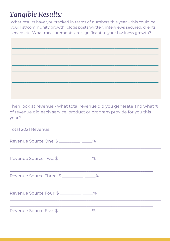### **Tangible Results:**

What results have you tracked in terms of numbers this year - this could be your list/community growth, blogs posts written, interviews secured, clients served etc. What measurements are significant to your business growth?

Then look at revenue - what total revenue did you generate and what % of revenue did each service, product or program provide for you this year?

| Total 2021 Revenue: The Contract of the Contract of the Contract of the Contract of the Contract of the Contract of the Contract of the Contract of the Contract of the Contract of the Contract of the Contract of the Contra |  |
|--------------------------------------------------------------------------------------------------------------------------------------------------------------------------------------------------------------------------------|--|
| Revenue Source One: \$ ___________ ____%                                                                                                                                                                                       |  |
| Revenue Source Two: \$ ___________ ____%                                                                                                                                                                                       |  |
| Revenue Source Three: \$ ___________ ____%                                                                                                                                                                                     |  |
| Revenue Source Four: \$ __________ ____%                                                                                                                                                                                       |  |
| Revenue Source Five: \$ __________ ____%                                                                                                                                                                                       |  |
|                                                                                                                                                                                                                                |  |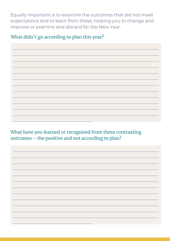Equally important is to examine the outcomes that did not meet expectations and to learn from these, helping you to change and improve or examine and discard for the New Year.

What didn't go according to plan this year?

What have you learned or recognised from these contrasting outcomes - the positive and not according to plan?

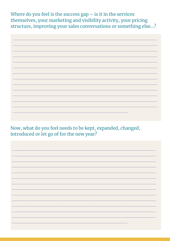Where do you feel is the success  $gap - is$  it in the services themselves, your marketing and visibility activity, your pricing structure, improving your sales conversations or something else...?